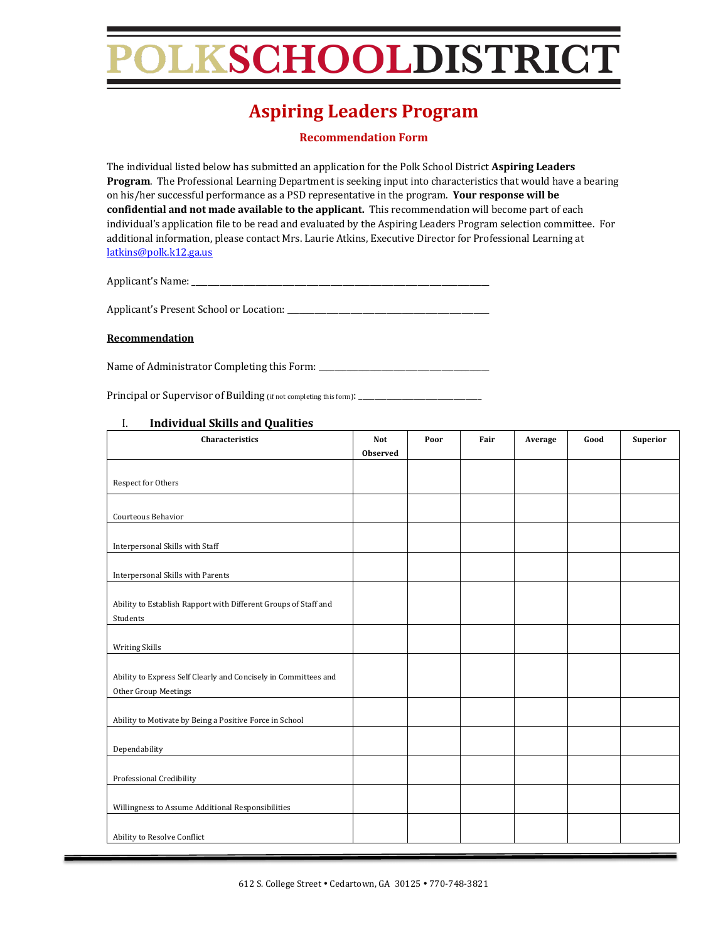## LKSCHOOLDISTRICT

### **Aspiring Leaders Program**

#### **Recommendation Form**

The individual listed below has submitted an application for the Polk School District **Aspiring Leaders Program**. The Professional Learning Department is seeking input into characteristics that would have a bearing on his/her successful performance as a PSD representative in the program. Your response will be confidential and not made available to the applicant. This recommendation will become part of each individual's application file to be read and evaluated by the Aspiring Leaders Program selection committee. For additional information, please contact Mrs. Laurie Atkins, Executive Director for Professional Learning at latkins@polk.k12.ga.us

Applicant's Name: \_\_\_\_\_\_\_\_\_\_\_\_\_\_\_\_\_\_\_\_\_\_\_\_\_\_\_\_\_\_\_\_\_\_\_\_\_\_\_\_\_\_\_\_\_\_\_\_\_\_\_\_\_\_\_\_\_\_\_\_\_\_\_\_\_\_\_\_\_\_\_\_\_\_\_

Applicant's Present School or Location: \_\_\_\_\_\_\_\_\_\_\_\_\_\_\_\_\_\_\_\_\_\_\_\_\_\_\_\_\_\_\_\_\_\_\_\_\_\_\_\_\_\_\_\_\_\_\_\_\_\_\_

#### **Recommendation**

Name of Administrator Completing this Form: \_\_\_\_\_\_\_\_\_\_\_\_\_\_\_\_\_\_\_\_\_\_\_\_\_\_\_\_\_\_\_\_\_\_\_\_\_\_\_\_\_\_\_

Principal or Supervisor of Building (if not completing this form): \_\_\_\_\_\_\_\_\_\_\_\_\_\_\_\_\_\_\_\_\_\_\_\_\_\_\_\_\_\_\_

| Observed<br>Respect for Others<br>Courteous Behavior<br>Interpersonal Skills with Staff<br>Interpersonal Skills with Parents<br>Ability to Establish Rapport with Different Groups of Staff and<br>Students<br><b>Writing Skills</b><br>Ability to Express Self Clearly and Concisely in Committees and<br>Other Group Meetings<br>Ability to Motivate by Being a Positive Force in School<br>Dependability<br>Professional Credibility<br>Willingness to Assume Additional Responsibilities<br>Ability to Resolve Conflict | Characteristics | Not | Poor | Fair | Average | Good | <b>Superior</b> |
|-----------------------------------------------------------------------------------------------------------------------------------------------------------------------------------------------------------------------------------------------------------------------------------------------------------------------------------------------------------------------------------------------------------------------------------------------------------------------------------------------------------------------------|-----------------|-----|------|------|---------|------|-----------------|
|                                                                                                                                                                                                                                                                                                                                                                                                                                                                                                                             |                 |     |      |      |         |      |                 |
|                                                                                                                                                                                                                                                                                                                                                                                                                                                                                                                             |                 |     |      |      |         |      |                 |
|                                                                                                                                                                                                                                                                                                                                                                                                                                                                                                                             |                 |     |      |      |         |      |                 |
|                                                                                                                                                                                                                                                                                                                                                                                                                                                                                                                             |                 |     |      |      |         |      |                 |
|                                                                                                                                                                                                                                                                                                                                                                                                                                                                                                                             |                 |     |      |      |         |      |                 |
|                                                                                                                                                                                                                                                                                                                                                                                                                                                                                                                             |                 |     |      |      |         |      |                 |
|                                                                                                                                                                                                                                                                                                                                                                                                                                                                                                                             |                 |     |      |      |         |      |                 |
|                                                                                                                                                                                                                                                                                                                                                                                                                                                                                                                             |                 |     |      |      |         |      |                 |
|                                                                                                                                                                                                                                                                                                                                                                                                                                                                                                                             |                 |     |      |      |         |      |                 |
|                                                                                                                                                                                                                                                                                                                                                                                                                                                                                                                             |                 |     |      |      |         |      |                 |
|                                                                                                                                                                                                                                                                                                                                                                                                                                                                                                                             |                 |     |      |      |         |      |                 |
|                                                                                                                                                                                                                                                                                                                                                                                                                                                                                                                             |                 |     |      |      |         |      |                 |
|                                                                                                                                                                                                                                                                                                                                                                                                                                                                                                                             |                 |     |      |      |         |      |                 |
|                                                                                                                                                                                                                                                                                                                                                                                                                                                                                                                             |                 |     |      |      |         |      |                 |
|                                                                                                                                                                                                                                                                                                                                                                                                                                                                                                                             |                 |     |      |      |         |      |                 |
|                                                                                                                                                                                                                                                                                                                                                                                                                                                                                                                             |                 |     |      |      |         |      |                 |
|                                                                                                                                                                                                                                                                                                                                                                                                                                                                                                                             |                 |     |      |      |         |      |                 |
|                                                                                                                                                                                                                                                                                                                                                                                                                                                                                                                             |                 |     |      |      |         |      |                 |
|                                                                                                                                                                                                                                                                                                                                                                                                                                                                                                                             |                 |     |      |      |         |      |                 |
|                                                                                                                                                                                                                                                                                                                                                                                                                                                                                                                             |                 |     |      |      |         |      |                 |
|                                                                                                                                                                                                                                                                                                                                                                                                                                                                                                                             |                 |     |      |      |         |      |                 |
|                                                                                                                                                                                                                                                                                                                                                                                                                                                                                                                             |                 |     |      |      |         |      |                 |
|                                                                                                                                                                                                                                                                                                                                                                                                                                                                                                                             |                 |     |      |      |         |      |                 |
|                                                                                                                                                                                                                                                                                                                                                                                                                                                                                                                             |                 |     |      |      |         |      |                 |
|                                                                                                                                                                                                                                                                                                                                                                                                                                                                                                                             |                 |     |      |      |         |      |                 |
|                                                                                                                                                                                                                                                                                                                                                                                                                                                                                                                             |                 |     |      |      |         |      |                 |
|                                                                                                                                                                                                                                                                                                                                                                                                                                                                                                                             |                 |     |      |      |         |      |                 |
|                                                                                                                                                                                                                                                                                                                                                                                                                                                                                                                             |                 |     |      |      |         |      |                 |
|                                                                                                                                                                                                                                                                                                                                                                                                                                                                                                                             |                 |     |      |      |         |      |                 |
|                                                                                                                                                                                                                                                                                                                                                                                                                                                                                                                             |                 |     |      |      |         |      |                 |
|                                                                                                                                                                                                                                                                                                                                                                                                                                                                                                                             |                 |     |      |      |         |      |                 |

#### I. **Individual Skills and Qualities**